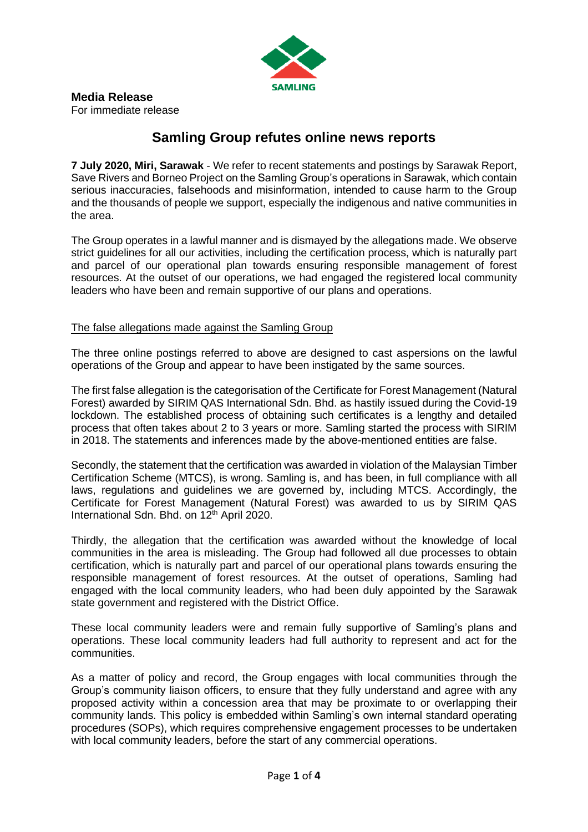

## **Samling Group refutes online news reports**

**7 July 2020, Miri, Sarawak** - We refer to recent statements and postings by Sarawak Report, Save Rivers and Borneo Project on the Samling Group's operations in Sarawak, which contain serious inaccuracies, falsehoods and misinformation, intended to cause harm to the Group and the thousands of people we support, especially the indigenous and native communities in the area.

The Group operates in a lawful manner and is dismayed by the allegations made. We observe strict guidelines for all our activities, including the certification process, which is naturally part and parcel of our operational plan towards ensuring responsible management of forest resources. At the outset of our operations, we had engaged the registered local community leaders who have been and remain supportive of our plans and operations.

## The false allegations made against the Samling Group

The three online postings referred to above are designed to cast aspersions on the lawful operations of the Group and appear to have been instigated by the same sources.

The first false allegation is the categorisation of the Certificate for Forest Management (Natural Forest) awarded by SIRIM QAS International Sdn. Bhd. as hastily issued during the Covid-19 lockdown. The established process of obtaining such certificates is a lengthy and detailed process that often takes about 2 to 3 years or more. Samling started the process with SIRIM in 2018. The statements and inferences made by the above-mentioned entities are false.

Secondly, the statement that the certification was awarded in violation of the Malaysian Timber Certification Scheme (MTCS), is wrong. Samling is, and has been, in full compliance with all laws, regulations and guidelines we are governed by, including MTCS. Accordingly, the Certificate for Forest Management (Natural Forest) was awarded to us by SIRIM QAS International Sdn. Bhd. on 12<sup>th</sup> April 2020.

Thirdly, the allegation that the certification was awarded without the knowledge of local communities in the area is misleading. The Group had followed all due processes to obtain certification, which is naturally part and parcel of our operational plans towards ensuring the responsible management of forest resources. At the outset of operations, Samling had engaged with the local community leaders, who had been duly appointed by the Sarawak state government and registered with the District Office.

These local community leaders were and remain fully supportive of Samling's plans and operations. These local community leaders had full authority to represent and act for the communities.

As a matter of policy and record, the Group engages with local communities through the Group's community liaison officers, to ensure that they fully understand and agree with any proposed activity within a concession area that may be proximate to or overlapping their community lands. This policy is embedded within Samling's own internal standard operating procedures (SOPs), which requires comprehensive engagement processes to be undertaken with local community leaders, before the start of any commercial operations.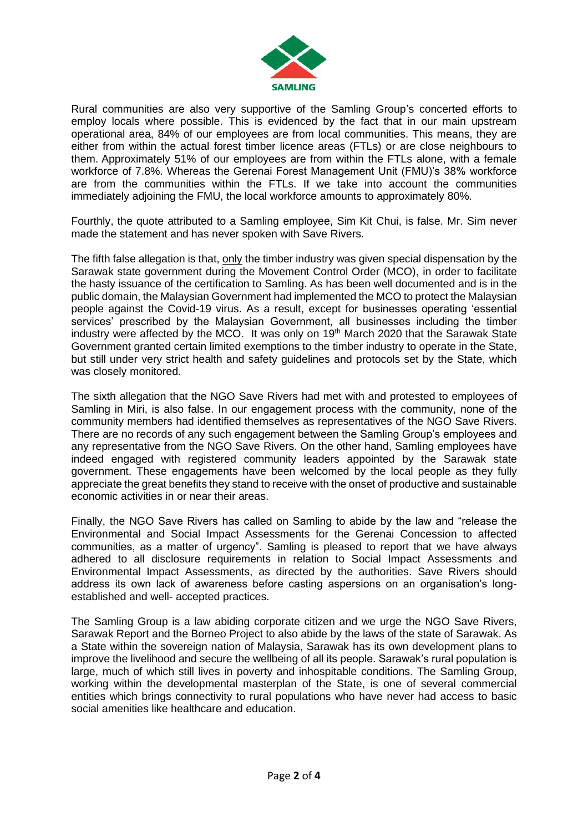

Rural communities are also very supportive of the Samling Group's concerted efforts to employ locals where possible. This is evidenced by the fact that in our main upstream operational area, 84% of our employees are from local communities. This means, they are either from within the actual forest timber licence areas (FTLs) or are close neighbours to them. Approximately 51% of our employees are from within the FTLs alone, with a female workforce of 7.8%. Whereas the Gerenai Forest Management Unit (FMU)'s 38% workforce are from the communities within the FTLs. If we take into account the communities immediately adjoining the FMU, the local workforce amounts to approximately 80%.

Fourthly, the quote attributed to a Samling employee, Sim Kit Chui, is false. Mr. Sim never made the statement and has never spoken with Save Rivers.

The fifth false allegation is that, only the timber industry was given special dispensation by the Sarawak state government during the Movement Control Order (MCO), in order to facilitate the hasty issuance of the certification to Samling. As has been well documented and is in the public domain, the Malaysian Government had implemented the MCO to protect the Malaysian people against the Covid-19 virus. As a result, except for businesses operating 'essential services' prescribed by the Malaysian Government, all businesses including the timber industry were affected by the MCO. It was only on 19<sup>th</sup> March 2020 that the Sarawak State Government granted certain limited exemptions to the timber industry to operate in the State, but still under very strict health and safety guidelines and protocols set by the State, which was closely monitored.

The sixth allegation that the NGO Save Rivers had met with and protested to employees of Samling in Miri, is also false. In our engagement process with the community, none of the community members had identified themselves as representatives of the NGO Save Rivers. There are no records of any such engagement between the Samling Group's employees and any representative from the NGO Save Rivers. On the other hand, Samling employees have indeed engaged with registered community leaders appointed by the Sarawak state government. These engagements have been welcomed by the local people as they fully appreciate the great benefits they stand to receive with the onset of productive and sustainable economic activities in or near their areas.

Finally, the NGO Save Rivers has called on Samling to abide by the law and "release the Environmental and Social Impact Assessments for the Gerenai Concession to affected communities, as a matter of urgency". Samling is pleased to report that we have always adhered to all disclosure requirements in relation to Social Impact Assessments and Environmental Impact Assessments, as directed by the authorities. Save Rivers should address its own lack of awareness before casting aspersions on an organisation's longestablished and well- accepted practices.

The Samling Group is a law abiding corporate citizen and we urge the NGO Save Rivers, Sarawak Report and the Borneo Project to also abide by the laws of the state of Sarawak. As a State within the sovereign nation of Malaysia, Sarawak has its own development plans to improve the livelihood and secure the wellbeing of all its people. Sarawak's rural population is large, much of which still lives in poverty and inhospitable conditions. The Samling Group, working within the developmental masterplan of the State, is one of several commercial entities which brings connectivity to rural populations who have never had access to basic social amenities like healthcare and education.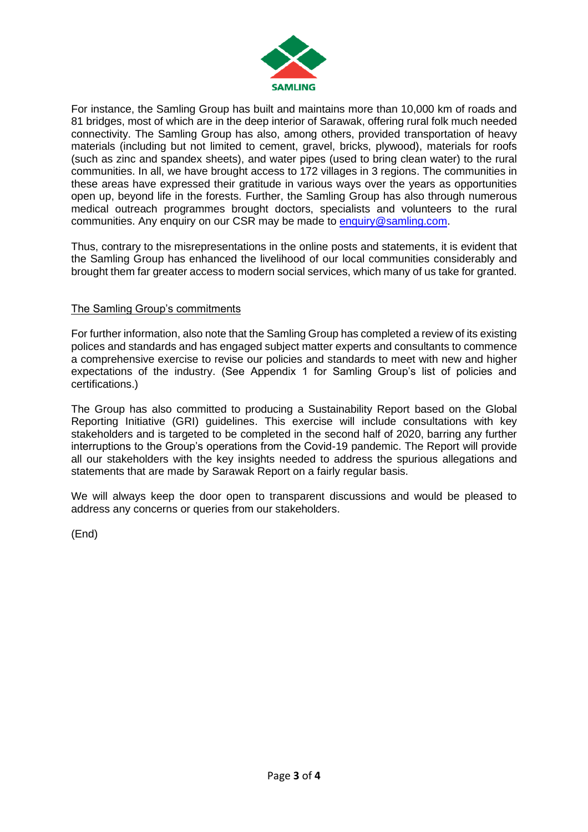

For instance, the Samling Group has built and maintains more than 10,000 km of roads and 81 bridges, most of which are in the deep interior of Sarawak, offering rural folk much needed connectivity. The Samling Group has also, among others, provided transportation of heavy materials (including but not limited to cement, gravel, bricks, plywood), materials for roofs (such as zinc and spandex sheets), and water pipes (used to bring clean water) to the rural communities. In all, we have brought access to 172 villages in 3 regions. The communities in these areas have expressed their gratitude in various ways over the years as opportunities open up, beyond life in the forests. Further, the Samling Group has also through numerous medical outreach programmes brought doctors, specialists and volunteers to the rural communities. Any enquiry on our CSR may be made to [enquiry@samling.com.](mailto:enquiry@samling.com)

Thus, contrary to the misrepresentations in the online posts and statements, it is evident that the Samling Group has enhanced the livelihood of our local communities considerably and brought them far greater access to modern social services, which many of us take for granted.

## The Samling Group's commitments

For further information, also note that the Samling Group has completed a review of its existing polices and standards and has engaged subject matter experts and consultants to commence a comprehensive exercise to revise our policies and standards to meet with new and higher expectations of the industry. (See Appendix 1 for Samling Group's list of policies and certifications.)

The Group has also committed to producing a Sustainability Report based on the Global Reporting Initiative (GRI) guidelines. This exercise will include consultations with key stakeholders and is targeted to be completed in the second half of 2020, barring any further interruptions to the Group's operations from the Covid-19 pandemic. The Report will provide all our stakeholders with the key insights needed to address the spurious allegations and statements that are made by Sarawak Report on a fairly regular basis.

We will always keep the door open to transparent discussions and would be pleased to address any concerns or queries from our stakeholders.

(End)